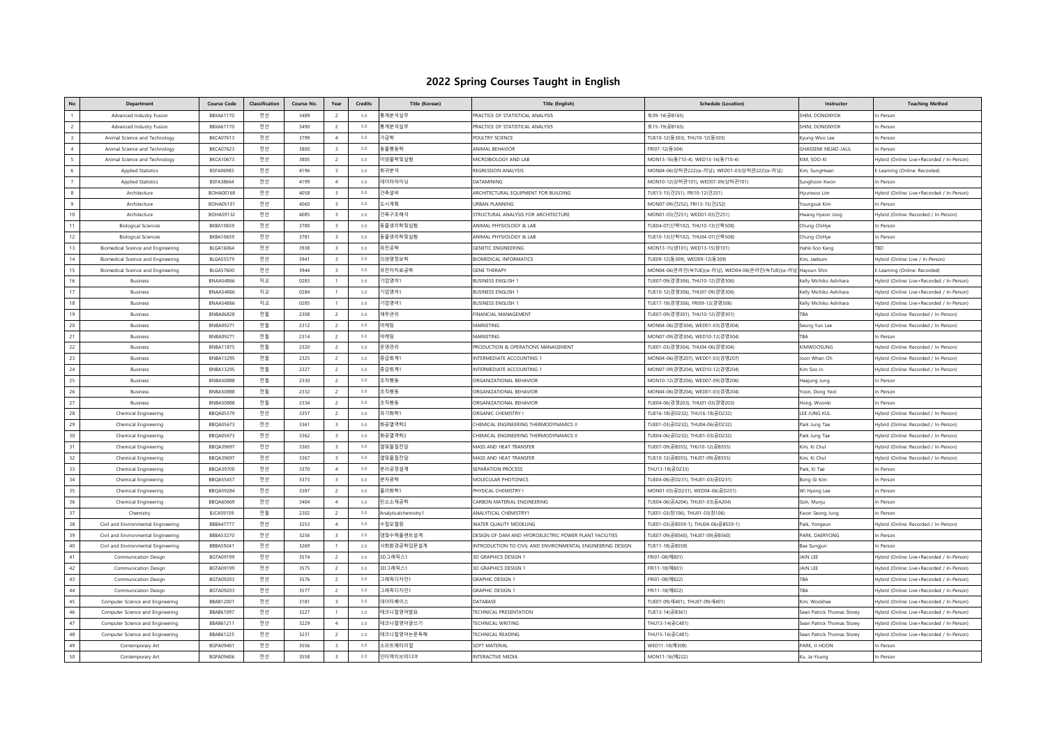## **2022 Spring Courses Taught in English**

| No             | Department                          | <b>Course Code</b> | Classification | Course No. | Year                    | <b>Credits</b> | <b>Title (Korean)</b> | <b>Title (English)</b>                                     | <b>Schedule (Location)</b>                                       | Instructor                  | <b>Teaching Method</b>                     |
|----------------|-------------------------------------|--------------------|----------------|------------|-------------------------|----------------|-----------------------|------------------------------------------------------------|------------------------------------------------------------------|-----------------------------|--------------------------------------------|
| $\overline{1}$ | Advanced Industry Fusion            | BBXA61170          | 전선             | 3489       | 2                       | 3.0            | 통계분석실무                | PRACTICE OF STATISTICAL ANALYSIS                           | 토09-14(공B165)                                                    | SHIM, DONGNYOK              | In Person                                  |
| $\overline{c}$ | Advanced Industry Fusion            | BBXA61170          | 전선             | 3490       | $\overline{2}$          | 3.0            | 통계분석실무                | PRACTICE OF STATISTICAL ANALYSIS                           | 토15-19(공B165)                                                    | SHIM, DONGNYOK              | n Person                                   |
| $\mathbf{R}$   | Animal Science and Technology       | BKCA07613          | 전선             | 3799       | $\overline{4}$          | 3.0            | 가금학                   | POULTRY SCIENCE                                            | TUE10-12(동303), THU10-12(동303)                                   | Kyung-Woo Lee               | In Person                                  |
| $\overline{4}$ | Animal Science and Technology       | BKCA07623          | 전선             | 3800       | $\mathbf{R}$            | 3.0            | 동물행동학                 | ANIMAL BEHAVIOR                                            | FRI07-12(동304)                                                   | <b>GHASSEMI NEJAD JALIL</b> | n Person                                   |
| 5              | Animal Science and Technology       | <b>BKCA10673</b>   | 전선             | 3805       | $\overline{2}$          | 3.0            | 미생물학및실험               | MICROBIOLOGY AND LAB                                       | MON13-16(동710-4), WED13-16(동710-4)                               | KIM, SOO-KI                 | Hybrid (Online: Live+Recorded / In-Person) |
|                | <b>Applied Statistics</b>           | BSEA06983          | 전선             | 4196       | $\overline{\mathbf{3}}$ | 3.0            | 회귀분석                  | REGRESSION ANALYSIS                                        | MON04-06(상허관222)(e-러닝), WED01-03(상허관222)(e-러닝)                   | Kim, SungHwan               | E-Learning (Online: Recorded)              |
| $\overline{z}$ | <b>Applied Statistics</b>           | BSFA38664          | 전선             | 4199       | $\overline{4}$          | 3.0            | 데이터마이닝                | DATAMINING                                                 | MON10-12(상허관101), WED07-09(상허관101                                | Sunghoon Kwon               | n Persor                                   |
| $\mathbf{g}$   | Architecture                        | <b>BOHA00168</b>   | 전선             | 4058       | $\overline{3}$          | 3.0            | 건축설비                  | ARCHITECTURAL EQUIPMENT FOR BUILDING                       | TUE13-15(건251), FRI10-12(건251)                                   | łyunwoo Lim                 | Hybrid (Online: Live+Recorded / In-Person) |
| $\alpha$       | Architecture                        | <b>BOHA05101</b>   | 전선             | 4060       | $\mathbf{a}$            | 3.0            | 도시계획                  | <b>URBAN PLANNING</b>                                      | MON07-09(건252), FRI13-15(건252)                                   | oungsuk Kim                 | n Person                                   |
| 10             | Architecture                        | <b>BOHA59132</b>   | 전선             | 4085       | $\mathcal{R}$           | 3.0            | 건축구조해석                | STRUCTURAL ANALYSIS FOR ARCHITECTURE                       | MON01-03(건251), WED01-03(건251)                                   | Iwang Hyeon Jong            | Hybrid (Online: Recorded / In-Person       |
| 11             | <b>Biological Sciences</b>          | <b>BKBA10659</b>   | 전선             | 3780       | $\mathbf{a}$            | 3.0            | 동물생리학및실험              | ANIMAL PHYSIOLOGY & LAB                                    | TUE04-07(산학102), THU10-13(산학508)                                 | Chung ChiHye                | In Person                                  |
| 12             | <b>Biological Sciences</b>          | <b>BKBA10659</b>   | 전선             | 3781       | $\overline{3}$          | 3.0            | 동물생리학및실험              | ANIMAL PHYSIOLOGY & LAB                                    | TUE10-13(산학102), THU04-07(산학508)                                 | Chung ChiHye                | In Person                                  |
| 13             | Biomedical Sceince and Engineering  | BLGA16064          | 전선             | 3938       | $\overline{3}$          | 3.0            | 유전공학                  | <b>GENETIC ENGINEERING</b>                                 | MON13-15(생101). WED13-15(생101)                                   | Hahk-Soo Kang               | TBD                                        |
| 14             | Biomedical Sceince and Engineering  | <b>BLGA55579</b>   | 전선             | 3941       | $\overline{\mathbf{3}}$ | 3.0            | 의생명정보학                | <b>BIOMEDICAL INFORMATICS</b>                              | TUE09-12(동309), WED09-12(동309)                                   | Kim. Jaebum                 | Hybrid (Online: Live / In-Person)          |
| 15             | Biomedical Sceince and Engineering  | <b>BLGA57600</b>   | 전선             | 3944       | $\overline{\mathbf{3}}$ | 3.0            | 유전자치료공학               | <b>GENE THERAPY</b>                                        | MON04-06(온라인(녹TUE))(e-러닝), WED04-06(온라인(녹TUE))(e-러닝) Hayoun Shin |                             | E-Learning (Online: Recorded)              |
| 16             | <b>Business</b>                     | <b>BNAA54866</b>   | 지교             | 0283       | $\overline{1}$          | 3.0            | 기업영어1                 | <b>BUSINESS ENGLISH 1</b>                                  | TUE07-09(경영306), THU10-12(경영306)                                 | Kelly Michiko Ashihara      | Hybrid (Online: Live+Recorded / In-Person) |
| 17             | Business                            | <b>BNAA54866</b>   | 지교             | 0284       | $\overline{1}$          | 3.0            | 기업영어1                 | <b>BUSINESS ENGLISH 1</b>                                  | TUE10-12(경영306), THU07-09(경영306)                                 | Kelly Michiko Ashihara      | lybrid (Online: Live+Recorded / In-Person) |
| 18             | <b>Business</b>                     | <b>BNAA54866</b>   | 지교             | 0285       | $\overline{1}$          | 3.0            | 기업영어1                 | <b>BUSINESS ENGLISH 1</b>                                  | TUE17-18(경영306), FRI09-12(경영306)                                 | Kelly Michiko Ashihara      | Hybrid (Online: Live+Recorded / In-Person) |
| 19             | <b>Business</b>                     | <b>BNBA06828</b>   | 전필             | 2308       | $\overline{2}$          | 3.0            | 재무관리                  | FINANCIAL MANAGEMENT                                       | TUE07-09(경영301), THU10-12(경영301)                                 |                             | Hybrid (Online: Recorded / In-Person)      |
| 20             | Business                            | <b>BNBA0927</b>    | 전필             | 2312       | $\overline{2}$          | 3.0            | 마케팅                   | MARKETING                                                  | MON04-06(경영304), WED01-03(경영304)                                 | Seung Yun Lee               | Hybrid (Online: Recorded / In-Person)      |
| 21             | <b>Business</b>                     | <b>BNBA0927</b>    | 전필             | 2314       | $\overline{2}$          | 3.0            | 마케팅                   | MARKETING                                                  | MON07-09(경영304), WED10-12(경영304)                                 | TR A                        | In Person                                  |
| 22             | <b>Business</b>                     | <b>BNBA11875</b>   | 전필             | 2320       | $\overline{2}$          | 3.0            | 운영관리                  | PRODUCTION & OPERATIONS MANAGEMENT                         | TUE01-03(경영304), THU04-06(경영304)                                 | KIMWOOSUNG                  | Hybrid (Online: Recorded / In-Person       |
| 23             | <b>Business</b>                     | <b>BNBA13295</b>   | 전필             | 2325       | $\overline{2}$          | 3.0            | 중급회계1                 | INTERMEDIATE ACCOUNTING 1                                  | MON04-06(경영207), WED01-03(경영207)                                 | Joon Whan Oh                | Hybrid (Online: Recorded / In-Person)      |
| 24             | Business                            | <b>BNBA13295</b>   | 전필             | 2327       | 2                       | 3.0            | 중급회계1                 | INTERMEDIATE ACCOUNTING 1                                  | MON07-09(경영204), WED10-12(경영204)                                 | Kim Soo In                  | Hybrid (Online: Recorded / In-Person       |
| 25             | Business                            | <b>BNBA50888</b>   | 전필             | 2330       | $\overline{2}$          | 3.0            | 조직행동                  | ORGANIZATIONAL BEHAVIOR                                    | MON10-12(경영206), WED07-09(경영206)                                 | Heajung Jung                | In Person                                  |
| 26             | Business                            | <b>BNBA50888</b>   | 전필             | 2332       | $\overline{2}$          | 3.0            | 조직행동                  | ORGANIZATIONAL BEHAVIOR                                    | MON04-06(경영204), WED01-03(경영204                                  | Yoon, Dong Yeol             | In Person                                  |
| 27             | <b>Business</b>                     | <b>BNBA50888</b>   | 전필             | 2334       | $\overline{2}$          | 3.0            | 조직행동                  | ORGANIZATIONAL BEHAVIOR                                    | TUE04-06(경영203), THU01-03(경영203)                                 | Hong, Woonki                | n Person                                   |
| 28             | Chemical Engineering                | <b>BBQA05579</b>   | 전선             | 3357       | $\overline{2}$          | 3.0            | 유기화학1                 | ORGANIC CHEMISTRY I                                        | TUE16-18(공D232), THU16-18(공D232)                                 | LEE JUNG KUL                | Hybrid (Online: Recorded / In-Person)      |
| 29             | Chemical Engineering                | <b>BBQA05673</b>   | 전선             | 3361       | $\overline{\mathbf{3}}$ | 3.0            | 화공열역학2                | CHEMICAL ENGINEERING THERMODYNAMICS II                     | TUE01-03(공D232), THU04-06(공D232)                                 | Park Jung Tae               | Hybrid (Online: Recorded / In-Person)      |
| 30             | Chemical Engineering                | BBQA05673          | 전선             | 3362       | $\overline{3}$          | 3.0            | 화공열역학2                | CHEMICAL ENGINEERING THERMODYNAMICS I                      | TUE04-06(공D232), THU01-03(공D232)                                 | Park Jung Tae               | Hybrid (Online: Recorded / In-Person)      |
| 31             | Chemical Engineering                | <b>BBQA39697</b>   | 전선             | 3365       | $\overline{\mathbf{3}}$ | 3.0            | 열및물질전달                | MASS AND HEAT TRANSFER                                     | TUE07-09(공B555), THU10-12(공B555)                                 | Kim. Ki Chul                | Hybrid (Online: Recorded / In-Person       |
| 32             | Chemical Engineering                | BBOA39697          | 전선             | 3367       | $\mathbf{a}$            | 3.0            | 열및물질전달                | MASS AND HEAT TRANSFER                                     | TUE10-12(공B555), THU07-09(공B555)                                 | Kim, Ki Chul                | Hybrid (Online: Recorded / In-Person       |
| 33             | Chemical Engineering                | BBOA39700          | 전선             | 3370       | $\overline{4}$          | 3.0            | 분리공정설계                | SEPARATION PROCESS                                         | THU13-18(공D233)                                                  | Park, Ki Tae                | In Person                                  |
| 34             | Chemical Engineering                | <b>BBQA55457</b>   | 전선             | 3373       | $\mathcal{R}$           | 3.0            | 분자광학                  | MOLECULAR PHOTONICS                                        | TUE04-06(공D231), THU01-03(공D231)                                 | Bong Gi Kim                 | In Person                                  |
| 35             | Chemical Engineering                | BBQA59284          | 전선             | 3387       | 2                       | 3.0            | 물리화학1                 | PHYSICAL CHEMISTRY I                                       | MON01-03(공D231), WED04-06(공D231)                                 | Wi Hyong Lee                | In Person                                  |
| 36             | Chemical Engineering                | <b>BBOA60669</b>   | 전선             | 3404       | $\overline{4}$          | 3.0            | 탄소소재공학                | CARBON MATERIAL ENGINEERING                                | TUE04-06(공A204), THU01-03(공A204)                                 | Goh, Munju                  | In Person                                  |
| 37             | Chemistry                           | BICA59159          | 전필             | 2302       | 2                       | 3.0            | Analyticalchemistry1  | ANALYTICAL CHEMISTRY1                                      | TUE01-03(창106), THU01-03(창106)                                   | Kwon Seong Jung             | n Person                                   |
| 38             | Civil and Environmental Engineering | <b>BBBA47777</b>   | 전선             | 3253       | $\overline{4}$          | 3.0            | 수질모델링                 | WATER OUALITY MODELING                                     | TUE01-03(공B559-1), THU04-06(공B559-1)                             | Park, Yongeun               | Hybrid (Online: Recorded / In-Person)      |
| 39             | Civil and Environmental Engineering | BBBA53270          | 전선             | 3256       | $\mathbf{R}$            | 3.0            | 댐및수력플랜트설계             | DESIGN OF DAM AND HYDROFLECTRIC POWER PLANT FACILITIES     | TUE07-09(공B560), THU07-09(공B560)                                 | PARK, DAFRYONG              | In Person                                  |
| 40             | Civil and Environmental Engineering | <b>BBBA59241</b>   | 전선             | 3269       | $\overline{1}$          | 2.0            | 사회환경공학입문설계            | INTRODUCTION TO CIVIL AND ENVIRONMENTAL ENGINEERING DESIGN | TUF11-18(공B558)                                                  | Bae Sungjun                 | n Person                                   |
| 41             | <b>Communication Design</b>         | <b>BGTA09199</b>   | 전선             | 3574       | 2                       | 3.0            | 3D그래픽스1               | 3D GRAPHICS DESIGN '                                       | FRI01-08(예801)                                                   | <b>JAIN LEE</b>             | Hybrid (Online: Live+Recorded / In-Person) |
| 42             | Communication Design                | <b>BGTA09199</b>   | 전선             | 3575       | $\overline{2}$          | 3.0            | 3D그래픽스1               | 3D GRAPHICS DESIGN 1                                       | FRI11-18(예801)                                                   | JAIN LEE                    | Hybrid (Online: Live+Recorded / In-Person) |
| 43             | Communication Design                | BGTA09203          | 전선             | 3576       | $\overline{2}$          | 3.0            | 그래픽디자인1               | <b>GRAPHIC DESIGN 1</b>                                    | FRI01-08(예822)                                                   | ÎRΔ                         | Hybrid (Online: Live+Recorded / In-Person) |
| 44             | <b>Communication Design</b>         | <b>BGTA09203</b>   | 전선             | 3577       | 2                       | 3.0            | 그래픽디자인1               | <b>GRAPHIC DESIGN 1</b>                                    | FRI11-18(예822)                                                   | TR A                        | Hybrid (Online: Live+Recorded / In-Person) |
| 45             | Computer Science and Engineering    | BBAB12001          | 전선             | 3181       | $\overline{\mathbf{3}}$ | 3.0            | 데이터베이스                | DATABASE                                                   | TUE07-09(새401), THU07-09(새401)                                   | Kim Wookhee                 | Hybrid (Online: Live+Recorded / In-Person) |
| 46             | Computer Science and Engineering    | BBAB61097          | 전선             | 3227       | $\overline{1}$          | 1.0            | 테크니컬영어발표              | TECHNICAL PRESENTATION                                     | TUE13-14(공B361)                                                  | Sean Patrick Thomas Storev  | Hybrid (Online: Live+Recorded / In-Person) |
| 47             | Computer Science and Engineering    | BBAB61211          | 전선             | 3229       | $\overline{4}$          | 1.0            | 테크니컬영어글쓰기             | TECHNICAL WRITING                                          | THU13-14(공C481)                                                  | Sean Patrick Thomas Storey  | Hybrid (Online: Live+Recorded / In-Person  |
| $48\,$         | Computer Science and Engineering    | BBAB61225          | 전선             | 3231       | $\overline{2}$          | $1.0\,$        | 테크니컬영어논문독해            | <b>TECHNICAL READING</b>                                   | THU15-16(공C481)                                                  | Sean Patrick Thomas Storey  | Hybrid (Online: Live+Recorded / In-Person) |
| 49             | Contemporary Art                    | <b>BGPA09401</b>   | 전선             | 3556       | $\overline{3}$          | 3.0            | 소프트매터리얼               | <b>SOFT MATERIAL</b>                                       | WED11-18(예308)                                                   | PARK, JI HOON               | In Person                                  |
| 50             | Contemporary Art                    | BGPA09406          | 전선             | 3558       | $\mathcal{R}$           | 2.0            | 인터액티브미디어              | INTERACTIVE MEDIA                                          | MON11-16(예222)                                                   | Ku, Ja-Young                | n Person                                   |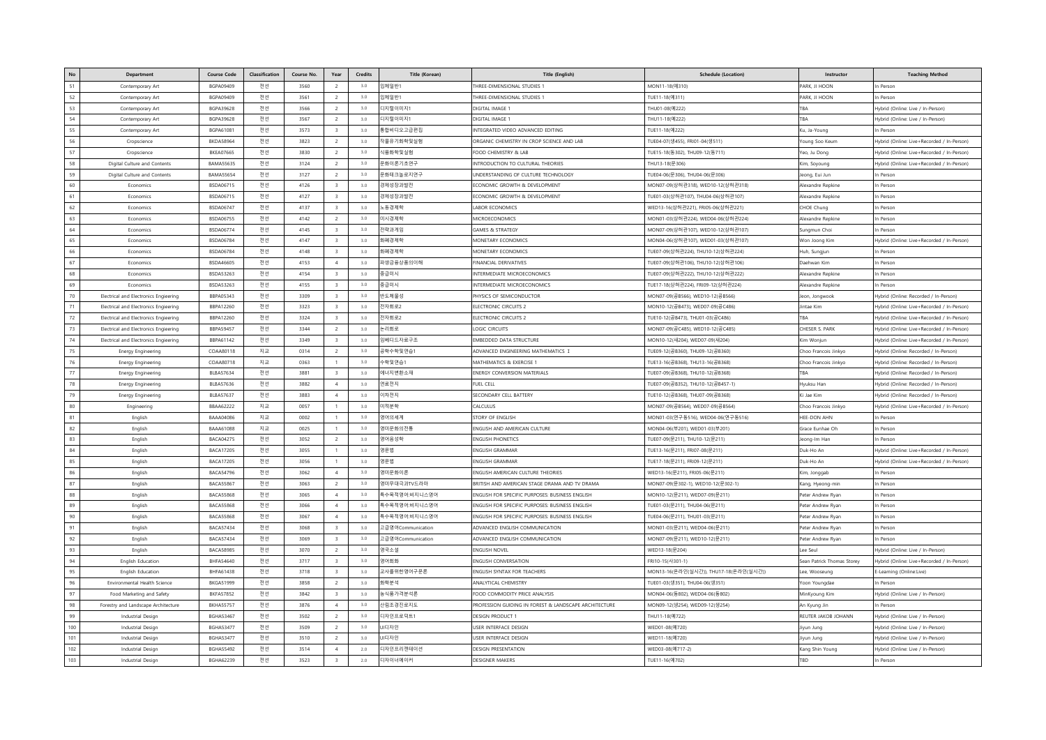|             | Department                            | <b>Course Code</b>                   | Classification | <b>Course No</b> | Year                             | Credits    | Title (Korean)                 | Title (English)                                                                                    | <b>Schedule (Location</b>                                        | Instructor                             | <b>Teaching Method</b>                     |
|-------------|---------------------------------------|--------------------------------------|----------------|------------------|----------------------------------|------------|--------------------------------|----------------------------------------------------------------------------------------------------|------------------------------------------------------------------|----------------------------------------|--------------------------------------------|
| 51          | Contemporary Art                      | <b>BGPA09409</b>                     | 전선             | 3560             | $\overline{2}$                   | 3.0        | 입체일반1                          | THREE-DIMENSIONAL STUDIES                                                                          | MON11-18(예310)                                                   | PARK, JI HOON                          | In Person                                  |
| 52          | Contemporary Art                      | <b>BGPA09409</b>                     | 전선             | 3561             | $\rightarrow$                    | 3.0        | 입체일반1                          | THREE-DIMENSIONAL STUDIES 1                                                                        | TUE11-18(예311)                                                   | PARK, JI HOON                          | In Person                                  |
| 53          | Contemporary Art                      | BGPA39628                            | 전선             | 3566             | 2                                | 3.0        | 디지털이미지1                        | DIGITAL IMAGE 1                                                                                    | THU01-08(예222)                                                   | TRA                                    | Hybrid (Online: Live / In-Person)          |
| 54          | Contemporary Art                      | BGPA39628                            | 전선             | 3567             | $\overline{2}$                   | 3.0        | 디지털이미지1                        | DIGITAL IMAGE '                                                                                    | THU11-18(예222)                                                   |                                        | Hybrid (Online: Live / In-Person)          |
| 55          | Contemporary Art                      | BGPA61081                            | 전선             | 3573             | $\mathbf{a}$                     | 3.0        | 통합비디오고급편집                      | INTEGRATED VIDEO ADVANCED EDITING                                                                  | TUE11-18(예222)                                                   | u, Ja-Young                            | n Persor                                   |
| 56          | Cropscience                           | <b>BKDA58964</b>                     | 전선             | 3823             | $\overline{2}$                   | 3.0        | 작물유기화학및실험                      | ORGANIC CHEMISTRY IN CROP SCIENCE AND LAB                                                          | TUE04-07(생455), FRI01-04(생511)                                   | 'oung Soo Keum                         | Hybrid (Online: Live+Recorded / In-Person) |
| 57          | Cropscience                           | <b>BKEA07665</b>                     | 전선             | 3830             | 2                                | 3.0        | 식품화학및실험                        | FOOD CHEMISTRY & LAB                                                                               | TUE15-18(동302), THU09-12(동711)                                   | Yeo, Ju Dong                           | Hybrid (Online: Live+Recorded / In-Person) |
| 58          | Digital Culture and Contents          | <b>BAMA55635</b>                     | 전선             | 3124             | $\overline{2}$                   | 3.0        | 문화이론기초연구                       | INTRODUCTION TO CULTURAL THEORIES                                                                  | THU13-18(문306)                                                   | (im, Soyoung                           | Hybrid (Online: Live+Recorded / In-Person) |
| 59          | Digital Culture and Contents          | <b>BAMA55654</b>                     | 전선             | 3127             | $\overline{2}$                   | 3.0        | 문화테크놀로지연구                      | UNDERSTANDING OF CULTURE TECHNOLOGY                                                                | TUE04-06(문306), THU04-06(문306)                                   | eong, Eui Jun                          | In Person                                  |
| 60          | Economics                             | <b>BSDA06715</b>                     | 전선             | 4126             | $\overline{\mathbf{3}}$          | 3.0        | 경제성장과발전                        | ECONOMIC GROWTH & DEVELOPMENT                                                                      | MON07-09(상허관318), WED10-12(상허관318)                               | Alexandre Repkine                      | In Person                                  |
| 61          | Economics                             | BSDA06715                            | 전선             | 4127             | $\overline{\mathbf{3}}$          | 3.0        | 경제성장과발전                        | ECONOMIC GROWTH & DEVELOPMENT                                                                      | TUE01-03(상허관107), THU04-06(상허관107)                               | Alexandre Repkine                      | In Persor                                  |
| 62          | Economics                             | <b>BSDA06747</b>                     | 전선             | 4137             | $\overline{\mathbf{3}}$          | 3.0        | 노동경제학                          | <b>LABOR ECONOMICS</b>                                                                             | WED13-16(상허관221), FRI05-06(상허관221)                               | CHOE Chung                             | In Person                                  |
| 63          | Economics                             | <b>BSDA06755</b>                     | 전선             | 4142             | 2                                | $3.0\,$    | 미시경제학                          | MICROECONOMICS                                                                                     | MON01-03(상허관224), WED04-06(상허관224)                               | Alexandre Repkine                      | In Persor                                  |
| 64          | Economics                             | <b>BSDA06774</b>                     | 전선             | 4145             | $\mathbf{a}$                     | 3.0        | 전략과게임                          | <b>GAMES &amp; STRATEGY</b>                                                                        | MON07-09(상허관107), WED10-12(상허관107)                               | unamun Choi                            | In Person                                  |
| 65          | Economics                             | <b>BSDA06784</b>                     | 전선             | 4147             | $\overline{\mathbf{3}}$          | $3.0\,$    | 화폐경제학                          | MONETARY ECONOMICS                                                                                 | MON04-06(상허관107), WED01-03(상허관107)                               | Won Joong Kim                          | Hybrid (Online: Live+Recorded / In-Person) |
| 66          | Economics                             | <b>BSDA06784</b>                     | 전선             | 4148             | $\mathbf{R}$                     | 3.0        | 화폐경제학                          | MONETARY ECONOMICS                                                                                 | TUE07-09(상허관224), THU10-12(상허관224)                               | Huh, Sungjun                           | In Person                                  |
| 67          | Economics                             | <b>BSDA46605</b>                     | 전선             | 4153             | $\overline{4}$                   | 3.0        | 파생금융상품의이해                      | FINANCIAL DERIVATIVES                                                                              | TUE07-09(상허관106), THU10-12(상허관106                                | Jaehwan Kim                            | n Persor                                   |
| 68          | Economics                             | <b>BSDA53263</b>                     | 전선             | 4154             | $\mathbf{a}$                     | 3.0        | 중급미시                           | INTERMEDIATE MICROECONOMICS                                                                        | TUE07-09(상허관222), THU10-12(상허관222)                               | Alexandre Repkine                      | In Person                                  |
| 69          | Economics                             | <b>BSDA53263</b>                     | 전선             | 4155             | $\overline{\mathbf{3}}$          | $3.0\,$    | 중급미시                           | INTERMEDIATE MICROECONOMICS                                                                        | TUE17-18(상허관224), FRI09-12(상허관224)                               | Alexandre Repkine                      | In Persor                                  |
| 70          | Electrical and Electronics Engieering | BBPA05343                            | 전선             | 3309             | $\mathbf{a}$                     | 3.0        | 반도체물성                          | PHYSICS OF SEMICONDUCTOR                                                                           | MON07-09(공B566), WED10-12(공B566)                                 | Jeon, Jongwool                         | Hybrid (Online: Recorded / In-Person)      |
| 71          | Electrical and Electronics Engieering | BBPA12260                            | 전선             | 3323             | $\overline{\mathbf{3}}$          | 3.0        | 전자회로2                          | ELECTRONIC CIRCUITS 2                                                                              | MON10-12(공B473), WED07-09(공C486)                                 | lintae Kin                             | Hybrid (Online: Live+Recorded / In-Person  |
| 72          | Electrical and Electronics Engieering | BBPA12260                            | 전선             | 3324             | $\mathbf{R}$                     | 3.0        | 전자회로2                          | ELECTRONIC CIRCUITS 2                                                                              | TUE10-12(공B473), THU01-03(공C486)                                 | TR A                                   | Hybrid (Online: Live+Recorded / In-Person) |
| 73          | Electrical and Electronics Engieering | <b>BBPA59457</b>                     | 전선             | 3344             | 2                                | 3.0        | 논리회로                           | <b>LOGIC CIRCUITS</b>                                                                              | MON07-09(공C485), WED10-12(공C485)                                 | CHESER S. PARK                         | Hybrid (Online: Live+Recorded / In-Person) |
| 74          | Electrical and Electronics Engieering | BBPA61142                            | 전선             | 3349             | $\overline{\mathbf{3}}$          | 3.0        | 임베디드자료구조                       | <b>EMBEDDED DATA STRUCTURE</b>                                                                     | MON10-12(새204), WED07-09(새204)                                   | <b>Sim Woniun</b>                      | Hybrid (Online: Live+Recorded / In-Person) |
| 75          | <b>Energy Engineering</b>             | COAA80118                            | 지교             | 0314             | 2                                | 3.0        | 공학수학및연습1                       | ADVANCED ENGINEERING MATHEMATICS I                                                                 | TUE09-12(공B360), THU09-12(공B360)                                 | Choo Francois Jinkyo                   | Hybrid (Online: Recorded / In-Person       |
| 76          | <b>Energy Engineering</b>             | COAA80718                            | 지교             | 0363             | $\overline{1}$                   | 3.0        | 수학및연습1                         | MATHEMATICS & EXERCISE                                                                             | TUE13-16(공B368), THU13-16(공B368)                                 | Choo Francois Jinkyo                   | Hybrid (Online: Recorded / In-Person       |
| 77          | <b>Energy Engineering</b>             | <b>BLBA57634</b>                     | 전선             | 3881             | $\overline{\mathbf{3}}$          | 3.0        | 에너지변환소재                        | ENERGY CONVERSION MATERIALS                                                                        | TUE07-09(공B368), THU10-12(공B368)                                 | TBA                                    | Hybrid (Online: Recorded / In-Person       |
| 78          | <b>Energy Engineering</b>             | <b>BLBA57636</b>                     | 전선             | 3882             | $\overline{4}$                   | 3.0        | 연료전지                           | <b>FUEL CELL</b>                                                                                   | TUE07-09(공B352), THU10-12(공B457-1)                               | Hvuksu Han                             | Hybrid (Online: Recorded / In-Person)      |
| 79          | <b>Energy Engineering</b>             | <b>BLBA57637</b>                     | 전선             | 3883             | $\overline{4}$                   | 3.0        | 이차전지                           | SECONDARY CELL BATTERY                                                                             | TUE10-12(공B368), THU07-09(공B368)                                 | i Jae Kim                              | Hybrid (Online: Recorded / In-Person)      |
| 80          | Engineering                           | BBAA62222                            | 지교             | 0057             | $\overline{1}$                   | 3.0        | 미적분학                           | CALCULUS                                                                                           | MON07-09(공B564), WED07-09(공B564)                                 | Choo Francois Jinkyo                   | Hybrid (Online: Live+Recorded / In-Person) |
| 81          | English                               | <b>BAAA04086</b>                     | 지교             | 0002             | $\overline{1}$                   | 3.0        | 영어의세계                          | STORY OF ENGLISH                                                                                   | MON01-03(연구동516), WED04-06(연구동516)                               | HEE-DON AHN                            | In Person                                  |
| 82          | English                               | BAAA61088                            | 지교             | 0025             |                                  | 3.0        | 영미문화의전통                        | ENGLISH AND AMERICAN CULTURE                                                                       | MON04-06(부201), WED01-03(부201)                                   | Grace Eunhae Oh                        | In Person                                  |
| 83          | English                               | <b>BACA04275</b>                     | 전선             | 3052             |                                  | 3.0        | 영어음성학                          | <b>ENGLISH PHONETICS</b>                                                                           | rUE07-09(문211), THU10-12(문211)                                   | eong-Im Han                            | n Person                                   |
| 84          | English                               | <b>BACA17205</b>                     | 전선             | 3055             | $\overline{1}$                   | 3.0        | 영문법                            | <b>ENGLISH GRAMMAR</b>                                                                             | TUE13-16(문211), FRI07-08(문211)                                   | Duk-Ho An                              | Hybrid (Online: Live+Recorded / In-Person) |
| 85          | English                               | <b>BACA17205</b>                     | 전선             | 3056             | $\overline{1}$                   | 3.0        | 영문법                            | <b>ENGLISH GRAMMAR</b>                                                                             | TUE17-18(문211), FRI09-12(문211)                                   | Duk-Ho An                              | Hybrid (Online: Live+Recorded / In-Person) |
| 86          | English                               | <b>BACA54796</b>                     | 전선             | 3062             | $\overline{4}$                   | 3.0        | 영미문화이론                         | ENGLISH AMERICAN CULTURE THEORIES                                                                  | WED13-16(문211), FRI05-06(문211)                                   | (im, Jonggab                           | In Persor                                  |
| 87          | English                               | <b>BACA55867</b>                     | 전선             | 3063             | 2                                | 3.0        | 영미무대극과TV드라마                    | BRITISH AND AMERICAN STAGE DRAMA AND TV DRAMA                                                      | MON07-09(문302-1), WED10-12(문302-1)                               | Kang, Hyeong-min                       | n Person                                   |
| $^{\rm 88}$ | English                               | <b>BACA55868</b>                     | 전선             | 3065             | $\overline{4}$                   | 3.0        | 특수목적영어:비지니스영어                  | ENGLISH FOR SPECIFIC PURPOSES: BUSINESS ENGLISH                                                    | MON10-12(문211), WED07-09(문211)                                   | Peter Andrew Ryan                      | In Person                                  |
| 89<br>90    | English                               | <b>BACA55868</b><br><b>BACA55868</b> | 전선             | 3066<br>3067     | $\overline{4}$<br>$\overline{4}$ | 3.0<br>3.0 | 특수목적영어:비지니스영어<br>특수목적영어:비지니스영어 | ENGLISH FOR SPECIFIC PURPOSES: BUSINESS ENGLISH<br>ENGLISH FOR SPECIFIC PURPOSES: BUSINESS ENGLISH | TUE01-03(문211), THU04-06(문211)                                   | Peter Andrew Ryan                      | In Person                                  |
| 91          | English<br>English                    | <b>BACA57434</b>                     | 전선<br>전선       | 3068             | $\overline{\mathbf{3}}$          | 3.0        | 고급영어Communication              | ADVANCED ENGLISH COMMUNICATION                                                                     | TUE04-06(문211), THU01-03(문211)<br>MON01-03(문211), WED04-06(문211) | Peter Andrew Ryan<br>Peter Andrew Ryan | In Person<br>In Person                     |
| 92          | English                               | <b>BACA57434</b>                     | 전선             | 3069             | $\mathbf{R}$                     | 3.0        | 고급영어Communication              | ADVANCED ENGLISH COMMUNICATION                                                                     | MON07-09(문211), WED10-12(문211)                                   | eter Andrew Ryan                       | n Persor                                   |
| 93          | English                               | <b>BACA58985</b>                     | 전선             | 3070             | $\rightarrow$                    | 3.0        | 영국소설                           | <b>ENGLISH NOVEL</b>                                                                               | WED13-18(문204)                                                   | Lee Seu                                | Hybrid (Online: Live / In-Person)          |
| 94          | English Education                     | <b>BHFA54640</b>                     | 전선             | 3717             | $\overline{\mathbf{3}}$          | 3.0        | 영어회화                           | <b>ENGLISH CONVERSATION</b>                                                                        | FRI10-15(사301-1)                                                 | Sean Patrick Thomas Storey             | Hybrid (Online: Live+Recorded / In-Person) |
| 95          | English Education                     | BHFA61438                            | 전선             | 3718             | $\mathbf{a}$                     | $3.0\,$    | 교사를위한영어구문론                     | ENGLISH SYNTAX FOR TEACHERS                                                                        | MON13-16(온라인(실시간)), THU17-18(온라인(실시간))                           | ee. Wooseung                           | E-Learning (Online:Live)                   |
| 96          | Environmental Health Science          | <b>BKGA51999</b>                     | 전선             | 3858             | $\overline{2}$                   | 3.0        | 화학부석                           | <b>ANALYTICAL CHEMISTRY</b>                                                                        | TUE01-03(생351), THU04-06(생351)                                   | oon Youngdae                           | n Persor                                   |
| 97          | Food Marketing and Safety             | <b>BKFA57852</b>                     | 전선             | 3842             | $\overline{\mathbf{3}}$          | 3.0        | 농식품가격분석론                       | FOOD COMMODITY PRICE ANALYSIS                                                                      | MON04-06(동802), WED04-06(동802)                                   | MinKyoung Kim                          | Hybrid (Online: Live / In-Person)          |
| 98          | Forestry and Landscape Architecture   | <b>BKHA55757</b>                     | 전선             | 3876             | $\overline{4}$                   | 3.0        | 산림조경진로지도                       | PROFESSION GUIDING IN FOREST & LANDSCAPE ARCHITECTURE                                              | MON09-12(생254), WED09-12(생254)                                   | An Kyung Jin                           | n Person                                   |
| 99          | Industrial Design                     | <b>BGHA53467</b>                     | 전선             | 3502             | $\overline{2}$                   | 3.0        | 디자인프로덕트1                       | <b>DESIGN PRODUCT</b>                                                                              | THU11-18(예722)                                                   | REUTER JAKOB JOHANN                    | Hybrid (Online: Live / In-Person)          |
| 100         | Industrial Design                     | <b>BGHA53477</b>                     | 전선             | 3509             | $\overline{2}$                   | $3.0\,$    | UI디자인                          | <b>USER INTERFACE DESIGN</b>                                                                       | WED01-08(예720)                                                   | iyun Jung                              | Hybrid (Online: Live / In-Person)          |
| 101         | <b>Industrial Design</b>              | <b>BGHA53477</b>                     | 전선             | 3510             | $\rightarrow$                    | 3.0        | UI디자인                          | USER INTERFACE DESIGN                                                                              | WED11-18(예720)                                                   | Jivun Juna                             | Hybrid (Online: Live / In-Person)          |
| 102         | <b>Industrial Design</b>              | <b>BGHA55492</b>                     | 전선             | 3514             | $\overline{4}$                   | 2.0        | 디자인프리젠테이션                      | <b>DESIGN PRESENTATION</b>                                                                         | WED03-08(예717-2)                                                 | Kang Shin Young                        | Hybrid (Online: Live / In-Person)          |
| 103         | <b>Industrial Design</b>              | <b>BGHA62239</b>                     | 전선             | 3523             | $\mathbf{a}$                     | 2.0        | 디자이너메이커                        | <b>DESIGNER MAKERS</b>                                                                             | TUE11-16(예702)                                                   | <b>TRD</b>                             | In Person                                  |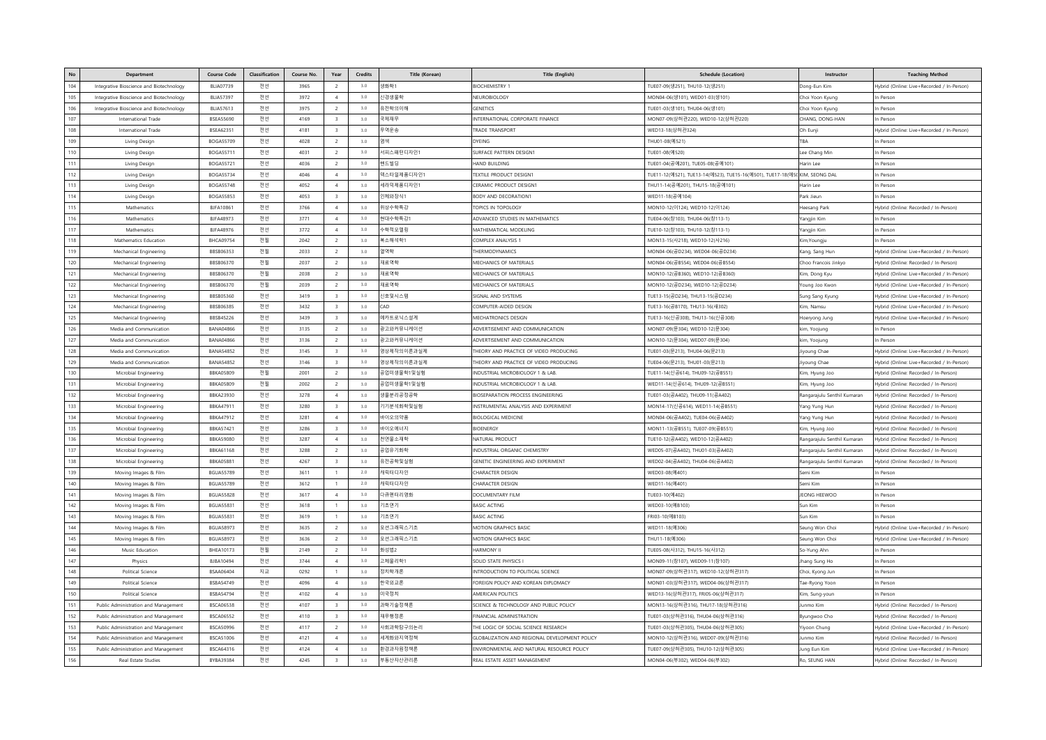| No         | Department                                   | <b>Course Code</b>                   | <b>Classification</b> | Course No.   | Year                             | <b>Credits</b> | <b>Title (Korean)</b> | <b>Title (English</b>                         | <b>Schedule (Location)</b>                                                  | Instructor                   | <b>Teaching Method</b>                     |
|------------|----------------------------------------------|--------------------------------------|-----------------------|--------------|----------------------------------|----------------|-----------------------|-----------------------------------------------|-----------------------------------------------------------------------------|------------------------------|--------------------------------------------|
| 104        | Integrative Bioscience and Biotechnology     | <b>BLIA07739</b>                     | 전선                    | 3965         | $\mathcal{L}$                    | 3.0            | 생화학1                  | <b>BIOCHEMISTRY 1</b>                         | TUE07-09(생251), THU10-12(생251)                                              | Jong-Eun Kim                 | Hybrid (Online: Live+Recorded / In-Person) |
| 105        | Integrative Bioscience and Biotechnology     | <b>BLIA57397</b>                     | 전선                    | 3972         | $\overline{4}$                   | 3.0            | 신경생물학                 | NEUROBIOLOGY                                  | MON04-06(생101), WED01-03(생101)                                              | Choi Yoon Kyung              | In Person                                  |
| 106        | Integrative Bioscience and Biotechnology     | <b>BLIA57613</b>                     | 전선                    | 3975         | $\overline{2}$                   | 3.0            | 유전학의이해                | <b>GENETICS</b>                               | TUE01-03(생101), THU04-06(생101)                                              | Choi Yoon Kyung              | In Person                                  |
| 107        | International Trade                          | <b>BSEA55690</b>                     | 전선                    | 4169         | $\mathbf{a}$                     | 3.0            | 국제재무                  | INTERNATIONAL CORPORATE FINANCE               | MON07-09(상허관220), WED10-12(상허관220)                                          | CHANG, DONG-HAN              | In Persor                                  |
| 108        | International Trade                          | <b>BSEA62351</b>                     | 전선                    | 4181         | $\mathbf{R}$                     | 3.0            | 무역운송                  | <b>RADE TRANSPORT</b>                         | WED13-18(상허관324)                                                            | Oh Eunji                     | Hybrid (Online: Live+Recorded / In-Person) |
| 109        | Living Design                                | <b>BOGA55709</b>                     | 전선                    | 4028         | $\overline{2}$                   | 3.0            | 염색                    | <b>YEING</b>                                  | THU01-08(예521)                                                              | TBA                          | In Person                                  |
| 110        | Living Design                                | <b>BOGA55711</b>                     | 전선                    | 4031         | $\overline{2}$                   | 3.0            | 서피스패턴디자인1             | <b>SURFACE PATTERN DESIGN1</b>                | TUE01-08(예520)                                                              | Lee Chang Min                | In Person                                  |
| 111        | Living Design                                | <b>BOGA55721</b>                     | 전선                    | 4036         | $\overline{2}$                   | 3.0            | 핸드빌딩                  | <b>JAND BUILDING</b>                          | TUE01-04(공예201), TUE05-08(공예101)                                            | larin Lee                    | n Person                                   |
| 112        | Living Design                                | <b>BOGA55734</b>                     | 전선                    | 4046         | $\overline{4}$                   | 3.0            | 텍스타일제품디자인1            | TEXTILE PRODUCT DESIGN1                       | TUE11-12(예521), TUE13-14(예523), TUE15-16(예501), TUE17-18(예50 KIM, SEONG DAL |                              | In Persor                                  |
| 113        | Living Design                                | <b>BOGA55748</b>                     | 전선                    | 4052         | $\overline{4}$                   | 3.0            | 세라믹제품디자인1             | ERAMIC PRODUCT DESIGN'                        | THU11-14(공예201), THU15-18(공예101)                                            | larin Lee                    | In Person                                  |
| 114        | Living Design                                | BOGA55853                            | 전선                    | 4053         | $\mathbf{a}$                     | 3.0            | 인체와장식1                | <b>BODY AND DECORATION?</b>                   | WED11-18(공예104)                                                             | Park Jieun                   | In Person                                  |
| 115        | Mathematics                                  | <b>BJFA10861</b>                     | 전선                    | 3766         | $\overline{4}$                   | 3.0            | 위상수학특강                | OPICS IN TOPOLOGY                             | MON10-12(0 124), WED10-12(0 124)                                            | Heesang Park                 | Hybrid (Online: Recorded / In-Person)      |
| 116        | Mathematics                                  | BJFA48973                            | 전선                    | 3771         | $\boldsymbol{\Lambda}$           | 3.0            | 현대수학특강1               | ADVANCED STUDIES IN MATHEMATICS               | TUE04-06(창103), THU04-06(창113-1)                                            | angjin Kim                   | In Persor                                  |
| 117        | Mathematics                                  | <b>BJFA48976</b>                     | 전선                    | 3772         | $\overline{4}$                   | 3.0            | 수학적모델링                | MATHEMATICAL MODELING                         | TUE10-12(창103), THU10-12(창113-1)                                            | Yangjin Kim                  | In Person                                  |
| 118        | Mathematics Education                        | <b>BHCA09754</b>                     | 전필                    | 2042         | $\overline{2}$                   | 3.0            | 복소해석학1                | COMPLEX ANALYSIS 1                            | MON13-15(사218), WED10-12(사216)                                              | Kim, Youngju                 | In Person                                  |
| 119        | Mechanical Engineering                       | BBSB06353                            | 전필                    | 2033         | $\overline{2}$                   | 3.0            | 열역학                   | HERMODYNAMICS                                 | MON04-06(공D234), WED04-06(공D234)                                            | Cang, Sang Hun               | Hybrid (Online: Live+Recorded / In-Person) |
| 120        | Mechanical Engineering                       | BBSB06370                            | 전필                    | 2037         | $\overline{2}$                   | 3.0            | 재료역학                  | MECHANICS OF MATERIALS                        | MON04-06(공B554), WED04-06(공B554)                                            | Choo Francois Jinkyo         | Hybrid (Online: Recorded / In-Person       |
| 121        | Mechanical Engineering                       | BBSB06370                            | 전필                    | 2038         | $\overline{2}$                   | 3.0            | 재료역학                  | MECHANICS OF MATERIALS                        | MON10-12(공B360), WED10-12(공B360)                                            | Kim, Dong Kyu                | Hybrid (Online: Live+Recorded / In-Person) |
| 122        | Mechanical Engineering                       | BBSB06370                            | 전필                    | 2039         | $\overline{2}$                   | 3.0            | 재료역학                  | MECHANICS OF MATERIALS                        | MON10-12(공D234), WED10-12(공D234)                                            | 'oung Joo Kwor               | Hybrid (Online: Live+Recorded / In-Person) |
| 123        | Mechanical Engineering                       | BBSB05360                            | 전선                    | 3419         | $\overline{\mathbf{3}}$          | 3.0            | 신호및시스템                | <b>IGNAL AND SYSTEMS</b>                      | TUE13-15(공D234), THU13-15(공D234)                                            | ung Sang Kyung               | Hybrid (Online: Live+Recorded / In-Person) |
| 124        | Mechanical Engineering                       | BBSB06385                            | 전선                    | 3432         | $\mathbf{R}$                     | 3.0            | CAD                   | COMPUTER-AIDED DESIGN                         | TUE13-16(공B170), THU13-16(새302)                                             | im, Namsu                    | Hybrid (Online: Live+Recorded / In-Person) |
| 125        | Mechanical Engineering                       | BBSB45226                            | 전선                    | 3439         | $\mathbf{a}$                     | 3.0            | 메카트로닉스설계              | MECHATRONICS DESIGN                           | TUE13-16(신공308), THU13-16(신공308)                                            | loeryong Jung                | Hybrid (Online: Live+Recorded / In-Person) |
| 126        | Media and Communication                      | <b>BANA04866</b>                     | 전선                    | 3135         | $\overline{2}$                   | 3.0            | 광고와커뮤니케이션             | ADVERTISEMENT AND COMMUNICATION               | MON07-09(문304), WED10-12(문304)                                              | kim, Yoojung                 | In Person                                  |
| 127        | Media and Communication                      | <b>BANA04866</b>                     | 전선                    | 3136         | 2                                | 3.0            | 광고와커뮤니케이션             | ADVERTISEMENT AND COMMUNICATION               | MON10-12(문304), WED07-09(문304)                                              | tim, Yoojung                 | In Person                                  |
| 128        | Media and Communication                      | <b>BANA54852</b>                     | 전선                    | 3145         | $\overline{\mathbf{3}}$          | 3.0            | 영상제작의이론과실제            | HEORY AND PRACTICE OF VIDEO PRODUCING         | TUE01-03(문213), THU04-06(문213)                                              | young Chae                   | Hybrid (Online: Live+Recorded / In-Person) |
| 129        | Media and Communication                      | <b>BANA54852</b>                     | 전선                    | 3146         | $\mathbf{R}$                     | 3.0            | 영상제작의이론과실제            | HEORY AND PRACTICE OF VIDEO PRODUCING         | TUE04-06(문213) THU01-03(문213)                                               | young Chae                   | Hybrid (Online: Live+Recorded / In-Person) |
| 130        | Microbial Engineering                        | <b>BBKA05809</b>                     | 전필                    | 2001         | -2                               | 3.0            | 공업미생물학1및실험            | INDUSTRIAL MICROBIOLOGY 1 & LAB               | TUE11-14(신공614), THU09-12(공B551)                                            | (im, Hyung Joo               | Hybrid (Online: Recorded / In-Person)      |
| 131        | Microbial Engineering                        | <b>BBKA05809</b>                     | 전필                    | 2002         | 2                                | 3.0            | 공업미생물학1및실험            | NDUSTRIAL MICROBIOLOGY 1 & LAB.               | WED11-14(신공614), THU09-12(공B551)                                            | (im, Hyung Joo               | Hybrid (Online: Recorded / In-Person)      |
| 132        | Microbial Engineering                        | BBKA23930                            | 전선                    | 3278         | $\overline{4}$                   | 3.0            | 생물분리공정공학              | IOSEPARATION PROCESS ENGINEERING              | TUE01-03(공A402), THU09-11(공A402)                                            | tangarajulu Senthil Kumaran  | Hybrid (Online: Recorded / In-Person       |
| 133        | Microbial Engineering                        | <b>BBKA47911</b>                     | 전선                    | 3280         | $\mathbf{a}$                     | 3.0            | 기기분석화학및실험             | INSTRUMENTAL ANALYSIS AND EXPERIMENT          | MON14-17(신공614), WED11-14(공B551)                                            | ang Yung Hur                 | Hybrid (Online: Recorded / In-Person)      |
| 134        | Microbial Engineering                        | <b>BBKA47912</b>                     | 전선                    | 3281         | $\overline{4}$                   | 3.0            | 바이오의약품                | <b>BIOLOGICAL MEDICINE</b>                    | MON04-06(공A402), TUE04-06(공A402)                                            | ang Yung Hun                 | Hybrid (Online: Recorded / In-Person       |
| 135        | Microbial Engineering                        | <b>BBKA57421</b>                     | 전선                    | 3286         | $\mathbf{R}$                     | 3.0            | 바이오에너지                | RIOENERGY                                     | MON11-13(공B551), TUE07-09(공B551)                                            | (im, Hyung Joo               | Hybrid (Online: Recorded / In-Person)      |
| 136        | Microbial Engineering                        | <b>BBKA59080</b>                     | 전선                    | 3287         | $\overline{4}$                   | 3.0            | 천연물소재학                | NATURAL PRODUCT                               | TUE10-12(공A402), WED10-12(공A402)                                            | Rangarajulu Senthil Kumaran  | Hybrid (Online: Recorded / In-Person       |
| 137        | Microbial Engineering                        | <b>BBKA61168</b>                     | 전선                    | 3288         | $\overline{2}$                   | 3.0            | 공업유기화학                | INDUSTRIAL ORGANIC CHEMISTRY                  | WED05-07(공A402), THU01-03(공A402)                                            | Rangarajulu Senthil Kumaran  | Hybrid (Online: Recorded / In-Person       |
| 138        | Microbial Engineering                        | <b>BBKA05881</b>                     | 전선                    | 4267         | $\overline{\mathbf{3}}$          | 3.0            | 유전공학및실험               | GENETIC ENGINEERING AND EXPERIMENT            | WED02-04(공A402), THU04-06(공A402)                                            | Rangarajulu Senthil Kumaran  | Hybrid (Online: Recorded / In-Person       |
| 139        | Moving Images & Film                         | <b>BGUA55789</b>                     | 전선                    | 3611         | $\overline{1}$<br>$\overline{1}$ | 2.0            | 캐릭터디자인                | CHARACTER DESIGN                              | WED03-08(예401                                                               | iemi Kim                     | In Person                                  |
| 140<br>141 | Moving Images & Film                         | <b>BGUA55789</b>                     | 전선                    | 3612         |                                  | 2.0<br>3.0     | 캐릭터디자인                | CHARACTER DESIGN                              | WED11-16(예401)                                                              | emi Kim                      | In Person                                  |
|            | Moving Images & Film                         | <b>BGUA55828</b>                     | 전선                    | 3617         | $\overline{4}$                   |                | 다큐멘터리영화               | DOCUMENTARY FILM                              | TUE03-10(예402)                                                              | <b>JEONG HEEWOO</b>          | In Person                                  |
| 142<br>143 | Moving Images & Film                         | <b>BGUA55831</b><br><b>BGUA55831</b> | 전선                    | 3618<br>3619 | $\overline{1}$                   | 3.0<br>3.0     | 기초연기<br>기초연기          | <b>BASIC ACTING</b><br><b>BASIC ACTING</b>    | WED03-10(예B103<br>FRI03-10(예B103)                                           | sun Kim<br>un Kim            | In Person<br>n Person                      |
| 144        | Moving Images & Film<br>Moving Images & Film | <b>BGUA58973</b>                     | 전선<br>전선              | 3635         | 2                                | 3.0            | 모션그래픽스기초              | MOTION GRAPHICS BASIC                         | WED11-18(예306)                                                              | eung Won Choi                | Hybrid (Online: Live+Recorded / In-Person) |
| 145        |                                              | BGUA58973                            | 전선                    | 3636         | $\rightarrow$                    | 3.0            | 모션그래픽스기초              | MOTION GRAPHICS BASIC                         | THU11-18(여 306)                                                             |                              | Hybrid (Online: Live+Recorded / In-Person  |
| 146        | Moving Images & Film<br>Music Education      | BHEA10173                            | 전필                    | 2149         | $\overline{2}$                   | 3.0            | 화성법2                  | HARMONY II                                    | TUE05-08(사312), THU15-16(사312)                                              | eung Won Choi<br>So-Yung Ahn | In Person                                  |
| 147        | Physics                                      | BJBA10494                            | 전선                    | 3744         | $\overline{4}$                   | 3.0            | 고체물리학1                | SOLID STATE PHYSICS I                         | MON09-11(창107), WED09-11(창107)                                              | Jhang Sung Ho                | In Person                                  |
| 148        | Political Science                            | <b>BSAA06404</b>                     | 지교                    | 0292         |                                  | 3.0            | 정치학개론                 | NTRODUCTION TO POLITICAL SCIENCE              | MON07-09(상허관317), WED10-12(상허관317)                                          | Choi, Kyong Jun              | n Person                                   |
| 149        | Political Science                            | <b>BSBA54749</b>                     | 전선                    | 4096         | $\boldsymbol{\Lambda}$           | 3.0            | 한국외교론                 | FOREIGN POLICY AND KOREAN DIPLOMACY           | MON01-03(상허관317), WED04-06(상허관317)                                          | ae-Ryong Yoon                | In Persor                                  |
| 150        | Political Science                            | <b>BSBA54794</b>                     | 전선                    | 4102         | $\overline{4}$                   | 3.0            | 미국정치                  | <b>MERICAN POLITICS</b>                       | WED13-16(상허관317), FRI05-06(상허관317)                                          | Kim, Sung-youn               | In Person                                  |
| 151        | Public Administration and Management         | <b>BSCA06538</b>                     | 전선                    | 4107         | $\mathbf{R}$                     | 3.0            | 과학기술정책론               | SCIENCE & TECHNOLOGY AND PUBLIC POLICY        | MON13-16(상허관316), THU17-18(상허관316                                           | unmo Kim                     | Hybrid (Online: Recorded / In-Person)      |
| 152        | Public Administration and Management         | <b>BSCA06552</b>                     | 전선                    | 4110         |                                  | 3.0            | 재무행정론                 | INANCIAL ADMINISTRATION                       | TUE01-03(상허관316), THU04-06(상허관316)                                          | Byungwoo Cho                 | Hybrid (Online: Recorded / In-Person)      |
| 153        | Public Administration and Management         | <b>BSCA50996</b>                     | 전선                    | 4117         | $\rightarrow$                    | 3.0            | 사회과학탐구의논리             | HE LOGIC OF SOCIAL SCIENCE RESEARCH           | TUE01-03(상허관305), THU04-06(상허관305)                                          | 'iyoon Chung                 | Hybrid (Online: Live+Recorded / In-Person) |
| 154        | Public Administration and Management         | <b>BSCA51006</b>                     | 전선                    | 4121         | $\overline{4}$                   | 3.0            | 세계화와지역정책              | GLOBALIZATION AND REGIONAL DEVELOPMENT POLICY | MON10-12(상허관316), WED07-09(상허관316)                                          | unmo Kim                     | Hybrid (Online: Recorded / In-Person       |
| 155        | Public Administration and Management         | <b>BSCA64316</b>                     | 전선                    | 4124         | $\overline{4}$                   | 3.0            | 환경과자원정책론              | ENVIRONMENTAL AND NATURAL RESOURCE POLICY     | TUE07-09(상허관305), THU10-12(상허관305)                                          | ung Eun Kim                  | Hybrid (Online: Live+Recorded / In-Person) |
| 156        | Real Estate Studies                          | BYBA39384                            | 전선                    | 4245         | $\mathbf{a}$                     | 3.0            | 부동산자산관리론              | REAL ESTATE ASSET MANAGEMENT                  | MON04-06(부302), WED04-06(부302)                                              | Ro, SEUNG HAN                | Hybrid (Online: Recorded / In-Person       |
|            |                                              |                                      |                       |              |                                  |                |                       |                                               |                                                                             |                              |                                            |